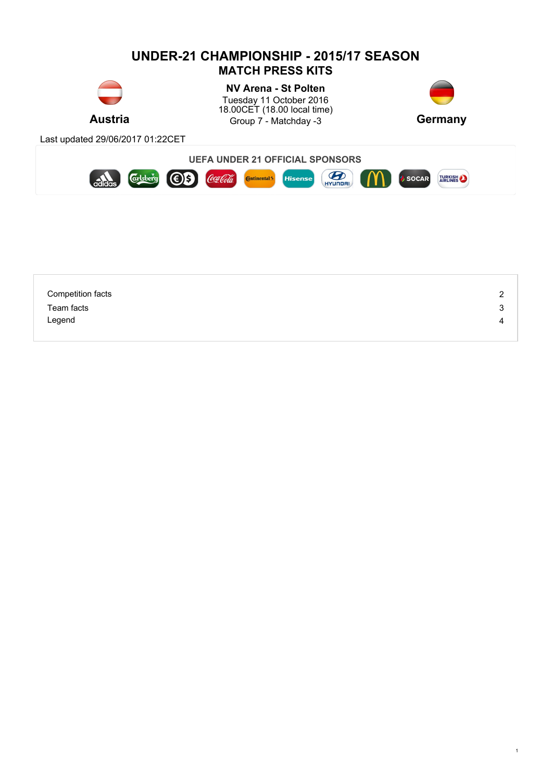

| <b>Competition facts</b> | $\sim$<br>∠ |
|--------------------------|-------------|
| Team facts               | 3           |
| Legend                   | 4           |
|                          |             |

1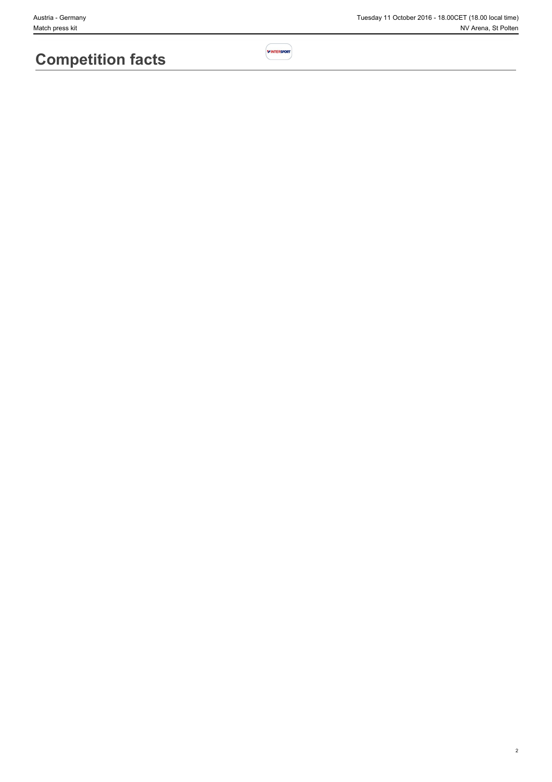# **Competition facts**

2

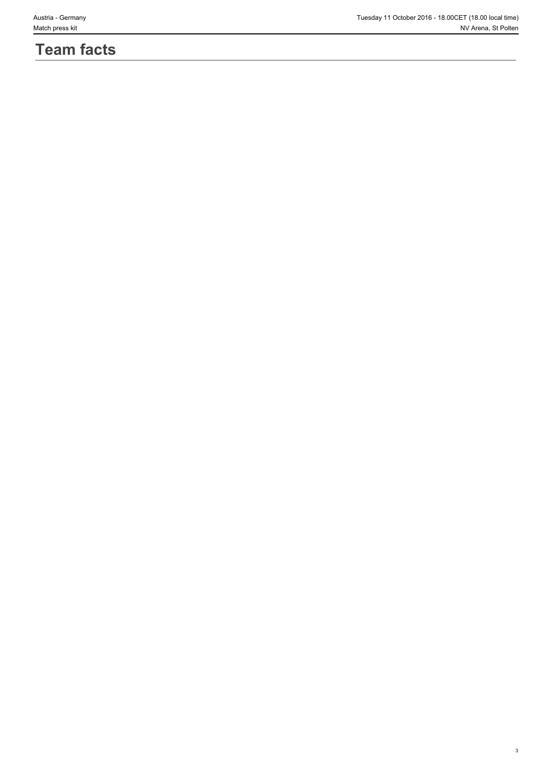# **Team facts**

3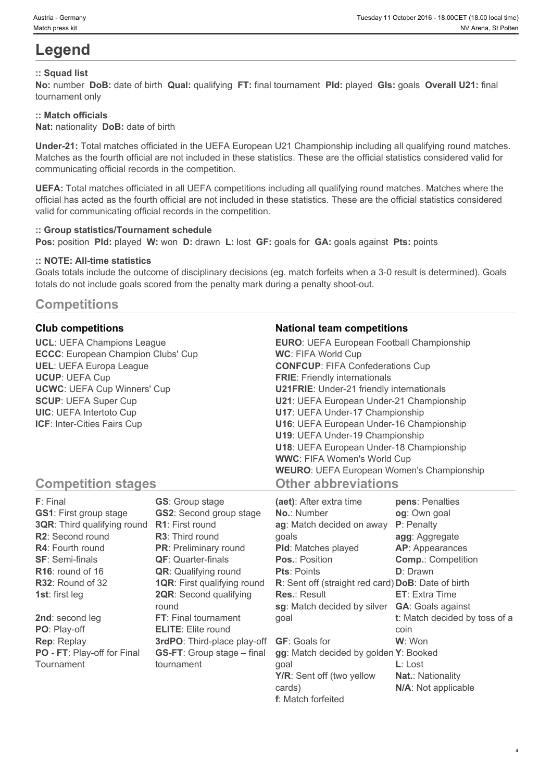# **Legend**

## **:: Squad list**

**No:** number **DoB:** date of birth **Qual:** qualifying **FT:** final tournament **Pld:** played **Gls:** goals **Overall U21:** final tournament only

## **:: Match officials**

**Nat:** nationality **DoB:** date of birth

**Under-21:** Total matches officiated in the UEFA European U21 Championship including all qualifying round matches. Matches as the fourth official are not included in these statistics. These are the official statistics considered valid for communicating official records in the competition.

**UEFA:** Total matches officiated in all UEFA competitions including all qualifying round matches. Matches where the official has acted as the fourth official are not included in these statistics. These are the official statistics considered valid for communicating official records in the competition.

#### **:: Group statistics/Tournament schedule**

**Pos:** position **Pld:** played **W:** won **D:** drawn **L:** lost **GF:** goals for **GA:** goals against **Pts:** points

#### **:: NOTE: All-time statistics**

Goals totals include the outcome of disciplinary decisions (eg. match forfeits when a 3-0 result is determined). Goals totals do not include goals scored from the penalty mark during a penalty shoot-out.

## **Competitions**

**UCL**: UEFA Champions League **ECCC**: European Champion Clubs' Cup **UEL**: UEFA Europa League **UCUP**: UEFA Cup **UCWC**: UEFA Cup Winners' Cup **SCUP**: UEFA Super Cup **UIC**: UEFA Intertoto Cup **ICF**: Inter-Cities Fairs Cup

## **Club competitions National team competitions**

| <b>EURO: UEFA European Football Championship</b> |  |
|--------------------------------------------------|--|
| <b>WC: FIFA World Cup</b>                        |  |
| <b>CONFCUP: FIFA Confederations Cup</b>          |  |
| <b>FRIE:</b> Friendly internationals             |  |
| <b>U21FRIE:</b> Under-21 friendly internationals |  |
| U21: UEFA European Under-21 Championship         |  |
| U17: UEFA Under-17 Championship                  |  |
| U16: UEFA European Under-16 Championship         |  |
| U19: UEFA Under-19 Championship                  |  |
| U18: UEFA European Under-18 Championship         |  |
| <b>WWC: FIFA Women's World Cup</b>               |  |
| <b>WEURO:</b> UEFA European Women's Championship |  |
| <b>Other abbreviations</b>                       |  |

# **Competition stages**

| F: Final                           | <b>GS:</b> Group stage             | (aet): After extra time                            | pens: Penalties               |
|------------------------------------|------------------------------------|----------------------------------------------------|-------------------------------|
| <b>GS1: First group stage</b>      | <b>GS2:</b> Second group stage     | <b>No.: Number</b>                                 | og: Own goal                  |
| <b>3QR:</b> Third qualifying round | <b>R1:</b> First round             | ag: Match decided on away                          | P: Penalty                    |
| <b>R2:</b> Second round            | <b>R3:</b> Third round             | qoals                                              | agg: Aggregate                |
| <b>R4: Fourth round</b>            | <b>PR:</b> Preliminary round       | <b>PId:</b> Matches played                         | <b>AP:</b> Appearances        |
| <b>SF: Semi-finals</b>             | <b>QF:</b> Quarter-finals          | Pos.: Position                                     | <b>Comp.: Competition</b>     |
| $R16$ : round of 16                | <b>QR:</b> Qualifying round        | <b>Pts: Points</b>                                 | <b>D</b> : Drawn              |
| $R32$ : Round of 32                | <b>1QR:</b> First qualifying round | R: Sent off (straight red card) DoB: Date of birth |                               |
| <b>1st:</b> first leg              | <b>2QR:</b> Second qualifying      | <b>Res.: Result</b>                                | <b>ET:</b> Extra Time         |
|                                    | round                              | sg: Match decided by silver                        | <b>GA: Goals against</b>      |
| 2nd: second leg                    | <b>FT:</b> Final tournament        | goal                                               | t: Match decided by toss of a |
| PO: Play-off                       | <b>ELITE:</b> Elite round          |                                                    | coin                          |
| <b>Rep: Replay</b>                 | 3rdPO: Third-place play-off        | <b>GF:</b> Goals for                               | W: Won                        |
| PO - FT: Play-off for Final        | <b>GS-FT:</b> Group stage – final  | gg: Match decided by golden Y: Booked              |                               |
| Tournament                         | tournament                         | goal                                               | $L:$ Lost                     |
|                                    |                                    | Y/R: Sent off (two yellow                          | <b>Nat.: Nationality</b>      |
|                                    |                                    | cards)                                             | N/A: Not applicable           |

**f**: Match forfeited